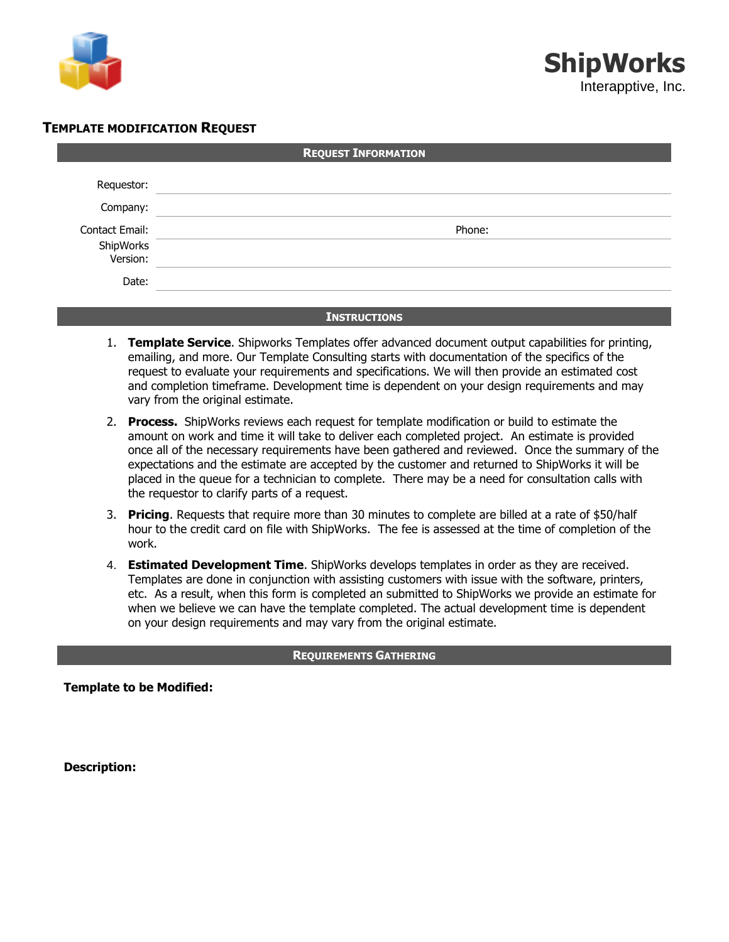

## **TEMPLATE MODIFICATION REQUEST**

| <b>REQUEST INFORMATION</b> |        |  |  |
|----------------------------|--------|--|--|
| Requestor:                 |        |  |  |
| Company:                   |        |  |  |
| Contact Email:             | Phone: |  |  |
| ShipWorks<br>:Version      |        |  |  |
| Date:                      |        |  |  |

## **INSTRUCTIONS**

- 1. **Template Service**. Shipworks Templates offer advanced document output capabilities for printing, emailing, and more. Our Template Consulting starts with documentation of the specifics of the request to evaluate your requirements and specifications. We will then provide an estimated cost and completion timeframe. Development time is dependent on your design requirements and may vary from the original estimate.
- 2. **Process.** ShipWorks reviews each request for template modification or build to estimate the amount on work and time it will take to deliver each completed project. An estimate is provided once all of the necessary requirements have been gathered and reviewed. Once the summary of the expectations and the estimate are accepted by the customer and returned to ShipWorks it will be placed in the queue for a technician to complete. There may be a need for consultation calls with the requestor to clarify parts of a request.
- 3. **Pricing**. Requests that require more than 30 minutes to complete are billed at a rate of \$50/half hour to the credit card on file with ShipWorks. The fee is assessed at the time of completion of the work.
- 4. **Estimated Development Time**. ShipWorks develops templates in order as they are received. Templates are done in conjunction with assisting customers with issue with the software, printers, etc. As a result, when this form is completed an submitted to ShipWorks we provide an estimate for when we believe we can have the template completed. The actual development time is dependent on your design requirements and may vary from the original estimate.

## **REQUIREMENTS GATHERING**

**Template to be Modified:**

**Description:**